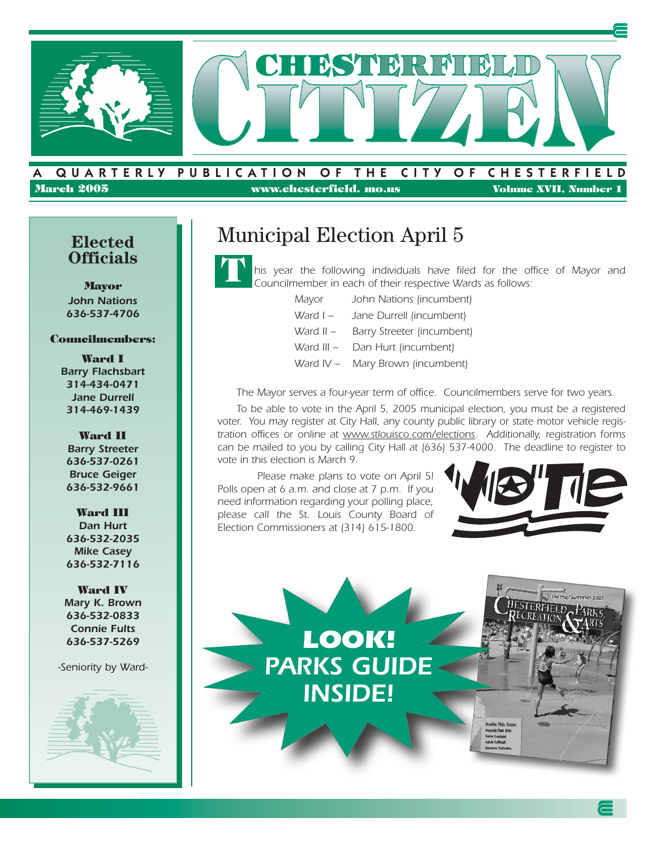

#### A . QUARTERLY PUBLICATION OF THE CITY OF CHESTERFIELD **March 2005 www.chesterfield. mo.us Volume XVII, Number 1**

#### **Elected Officials**

**Mayor** *John Nations 636-537-4706*

#### **Councilmembers:**

**Ward I** *Barry Flachsbart 314-434-0471 Jane Durrell 314-469-1439*

**Ward II** *Barry Streeter 636-537-0261 Bruce Geiger 636-532-9661*

**Ward III** *Dan Hurt 636-532-2035 Mike Casey 636-532-7116*

**Ward IV** *Mary K. Brown 636-532-0833 Connie Fults 636-537-5269*

*-Seniority by Ward-*



## Municipal Election April 5



*his year the following individuals have filed for the office of Mayor and Councilmember in each of their respective Wards as follows:*

- *Mayor John Nations (incumbent)*
- *Ward I Jane Durrell (incumbent)*
- *Ward II Barry Streeter (incumbent)*
- *Ward III Dan Hurt (incumbent)*
- *Ward IV Mary Brown (incumbent)*

*The Mayor serves a four-year term of office. Councilmembers serve for two years.* 

*To be able to vote in the April 5, 2005 municipal election, you must be a registered voter. You may register at City Hall, any county public library or state motor vehicle registration offices or online at www.stlouisco.com/elections. Additionally, registration forms can be mailed to you by calling City Hall at (636) 537-4000. The deadline to register to vote in this election is March 9.*

*Please make plans to vote on April 5! Polls open at 6 a.m. and close at 7 p.m. If you need information regarding your polling place, please call the St. Louis County Board of Election Commissioners at (314) 615-1800.*



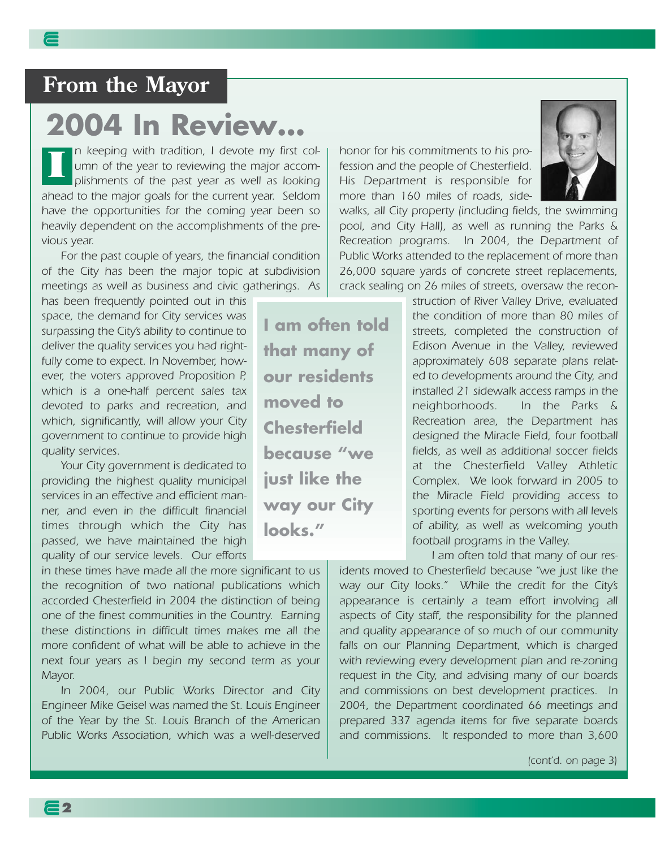# **2004 In Review…**

*n keeping with tradition, I devote my first column of the year to reviewing the major accomplishments of the past year as well as looking ahead to the major goals for the current year. Seldom have the opportunities for the coming year been so heavily dependent on the accomplishments of the previous year.* **I**

*For the past couple of years, the financial condition of the City has been the major topic at subdivision meetings as well as business and civic gatherings. As*

*has been frequently pointed out in this space, the demand for City services was surpassing the City's ability to continue to deliver the quality services you had rightfully come to expect. In November, however, the voters approved Proposition P, which is a one-half percent sales tax devoted to parks and recreation, and which, significantly, will allow your City government to continue to provide high quality services.*

*Your City government is dedicated to providing the highest quality municipal services in an effective and efficient manner, and even in the difficult financial times through which the City has passed, we have maintained the high quality of our service levels. Our efforts*

*in these times have made all the more significant to us the recognition of two national publications which accorded Chesterfield in 2004 the distinction of being one of the finest communities in the Country. Earning these distinctions in difficult times makes me all the more confident of what will be able to achieve in the next four years as I begin my second term as your Mayor.*

*In 2004, our Public Works Director and City Engineer Mike Geisel was named the St. Louis Engineer of the Year by the St. Louis Branch of the American Public Works Association, which was a well-deserved* *honor for his commitments to his profession and the people of Chesterfield. His Department is responsible for more than 160 miles of roads, side-*

*walks, all City property (including fields, the swimming pool, and City Hall), as well as running the Parks & Recreation programs. In 2004, the Department of Public Works attended to the replacement of more than 26,000 square yards of concrete street replacements, crack sealing on 26 miles of streets, oversaw the recon-*

> *struction of River Valley Drive, evaluated the condition of more than 80 miles of streets, completed the construction of Edison Avenue in the Valley, reviewed approximately 608 separate plans related to developments around the City, and installed 21 sidewalk access ramps in the neighborhoods. In the Parks & Recreation area, the Department has designed the Miracle Field, four football fields, as well as additional soccer fields at the Chesterfield Valley Athletic Complex. We look forward in 2005 to the Miracle Field providing access to sporting events for persons with all levels of ability, as well as welcoming youth football programs in the Valley.*

*I am often told that many of our residents moved to Chesterfield because "we just like the way our City looks." While the credit for the City's appearance is certainly a team effort involving all aspects of City staff, the responsibility for the planned and quality appearance of so much of our community falls on our Planning Department, which is charged with reviewing every development plan and re-zoning request in the City, and advising many of our boards and commissions on best development practices. In 2004, the Department coordinated 66 meetings and prepared 337 agenda items for five separate boards*

*and commissions. It responded to more than 3,600*

*(cont'd. on page 3)*

**I am often told that many of our residents moved to Chesterfield because "we just like the way our City looks."**

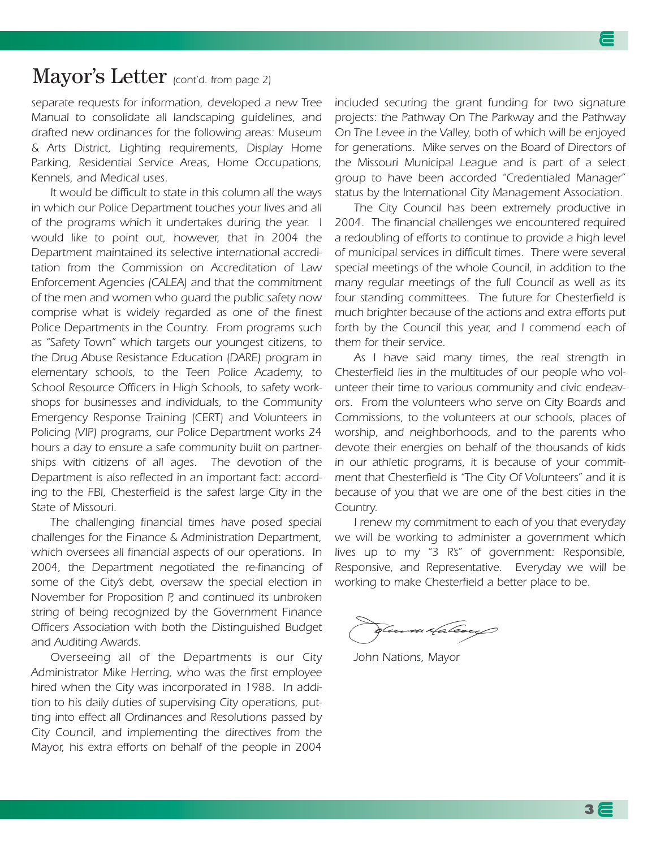#### Mayor's Letter *(cont'd. from page 2)*

*separate requests for information, developed a new Tree Manual to consolidate all landscaping guidelines, and drafted new ordinances for the following areas: Museum & Arts District, Lighting requirements, Display Home Parking, Residential Service Areas, Home Occupations, Kennels, and Medical uses.*

*It would be difficult to state in this column all the ways in which our Police Department touches your lives and all of the programs which it undertakes during the year. I would like to point out, however, that in 2004 the Department maintained its selective international accreditation from the Commission on Accreditation of Law Enforcement Agencies (CALEA) and that the commitment of the men and women who guard the public safety now comprise what is widely regarded as one of the finest Police Departments in the Country. From programs such as "Safety Town" which targets our youngest citizens, to the Drug Abuse Resistance Education (DARE) program in elementary schools, to the Teen Police Academy, to School Resource Officers in High Schools, to safety workshops for businesses and individuals, to the Community Emergency Response Training (CERT) and Volunteers in Policing (VIP) programs, our Police Department works 24 hours a day to ensure a safe community built on partnerships with citizens of all ages. The devotion of the Department is also reflected in an important fact: according to the FBI, Chesterfield is the safest large City in the State of Missouri.*

*The challenging financial times have posed special challenges for the Finance & Administration Department, which oversees all financial aspects of our operations. In 2004, the Department negotiated the re-financing of some of the City's debt, oversaw the special election in November for Proposition P, and continued its unbroken string of being recognized by the Government Finance Officers Association with both the Distinguished Budget and Auditing Awards.*

*Overseeing all of the Departments is our City Administrator Mike Herring, who was the first employee hired when the City was incorporated in 1988. In addition to his daily duties of supervising City operations, putting into effect all Ordinances and Resolutions passed by City Council, and implementing the directives from the Mayor, his extra efforts on behalf of the people in 2004*

*included securing the grant funding for two signature projects: the Pathway On The Parkway and the Pathway On The Levee in the Valley, both of which will be enjoyed for generations. Mike serves on the Board of Directors of the Missouri Municipal League and is part of a select group to have been accorded "Credentialed Manager" status by the International City Management Association.*

*The City Council has been extremely productive in 2004. The financial challenges we encountered required a redoubling of efforts to continue to provide a high level of municipal services in difficult times. There were several special meetings of the whole Council, in addition to the many regular meetings of the full Council as well as its four standing committees. The future for Chesterfield is much brighter because of the actions and extra efforts put forth by the Council this year, and I commend each of them for their service.*

*As I have said many times, the real strength in Chesterfield lies in the multitudes of our people who volunteer their time to various community and civic endeavors. From the volunteers who serve on City Boards and Commissions, to the volunteers at our schools, places of worship, and neighborhoods, and to the parents who devote their energies on behalf of the thousands of kids in our athletic programs, it is because of your commitment that Chesterfield is "The City Of Volunteers" and it is because of you that we are one of the best cities in the Country.*

*I renew my commitment to each of you that everyday we will be working to administer a government which lives up to my "3 R's" of government: Responsible, Responsive, and Representative. Everyday we will be working to make Chesterfield a better place to be.*

n daleacy

*John Nations, Mayor*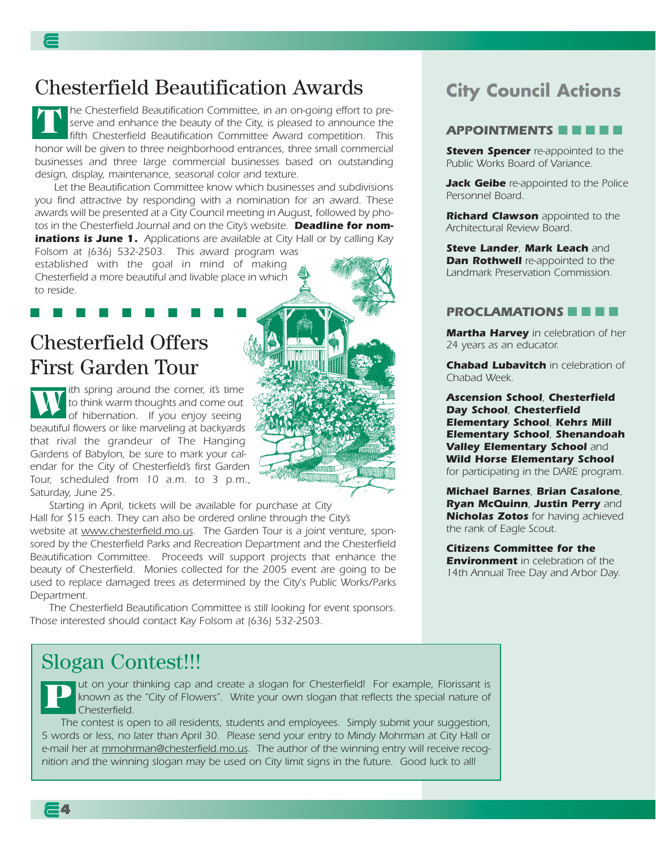#### Chesterfield Beautification Awards

*he Chesterfield Beautification Committee, in an on-going effort to preserve and enhance the beauty of the City, is pleased to announce the fifth Chesterfield Beautification Committee Award competition. This honor will be given to three neighborhood entrances, three small commercial businesses and three large commercial businesses based on outstanding design, display, maintenance, seasonal color and texture.* **T**

*Let the Beautification Committee know which businesses and subdivisions you find attractive by responding with a nomination for an award. These awards will be presented at a City Council meeting in August, followed by photos in the Chesterfield Journal and on the City's website. Deadline for nominations is June 1. Applications are available at City Hall or by calling Kay*

*Folsom at (636) 532-2503. This award program was established with the goal in mind of making Chesterfield a more beautiful and livable place in which to reside.* 

## Chesterfield Offers First Garden Tour

*ith spring around the corner, it's time to think warm thoughts and come out of hibernation. If you enjoy seeing beautiful flowers or like marveling at backyards that rival the grandeur of The Hanging Gardens of Babylon, be sure to mark your calendar for the City of Chesterfield's first Garden Tour, scheduled from 10 a.m. to 3 p.m., Saturday, June 25.*  **W**

■ ■ ■ ■ ■ ■ ■ ■ ■ ■

*Starting in April, tickets will be available for purchase at City Hall for \$15 each. They can also be ordered online through the City's website at www.chesterfield.mo.us. The Garden Tour is a joint venture, sponsored by the Chesterfield Parks and Recreation Department and the Chesterfield Beautification Committee. Proceeds will support projects that enhance the beauty of Chesterfield. Monies collected for the 2005 event are going to be used to replace damaged trees as determined by the City's Public Works/Parks Department.* 

*The Chesterfield Beautification Committee is still looking for event sponsors. Those interested should contact Kay Folsom at (636) 532-2503.* 

## Slogan Contest!!!

*ut on your thinking cap and create a slogan for Chesterfield! For example, Florissant is known as the "City of Flowers". Write your own slogan that reflects the special nature of Chesterfield.* **P**

*The contest is open to all residents, students and employees. Simply submit your suggestion, 5 words or less, no later than April 30. Please send your entry to Mindy Mohrman at City Hall or e-mail her at mmohrman@chesterfield.mo.us. The author of the winning entry will receive recognition and the winning slogan may be used on City limit signs in the future. Good luck to all!*

## **City Council Actions**

#### *APPOINTMENTS* ■ ■ ■ ■ ■

**Steven Spencer** re-appointed to the *Public Works Board of Variance.*

*Jack Geibe re-appointed to the Police Personnel Board.*

*Richard Clawson appointed to the Architectural Review Board.*

*Steve Lander, Mark Leach and Dan Rothwell re-appointed to the Landmark Preservation Commission.*

#### *PROCLAMATIONS* ■ ■ ■ ■

*Martha Harvey in celebration of her 24 years as an educator.*

*Chabad Lubavitch in celebration of Chabad Week.*

*Ascension School, Chesterfield Day School, Chesterfield Elementary School, Kehrs Mill Elementary School, Shenandoah Valley Elementary School and Wild Horse Elementary School for participating in the DARE program.*

*Michael Barnes, Brian Casalone, Ryan McQuinn, Justin Perry and Nicholas Zotos for having achieved the rank of Eagle Scout.*

*Citizens Committee for the Environment in celebration of the 14th Annual Tree Day and Arbor Day.*

**4**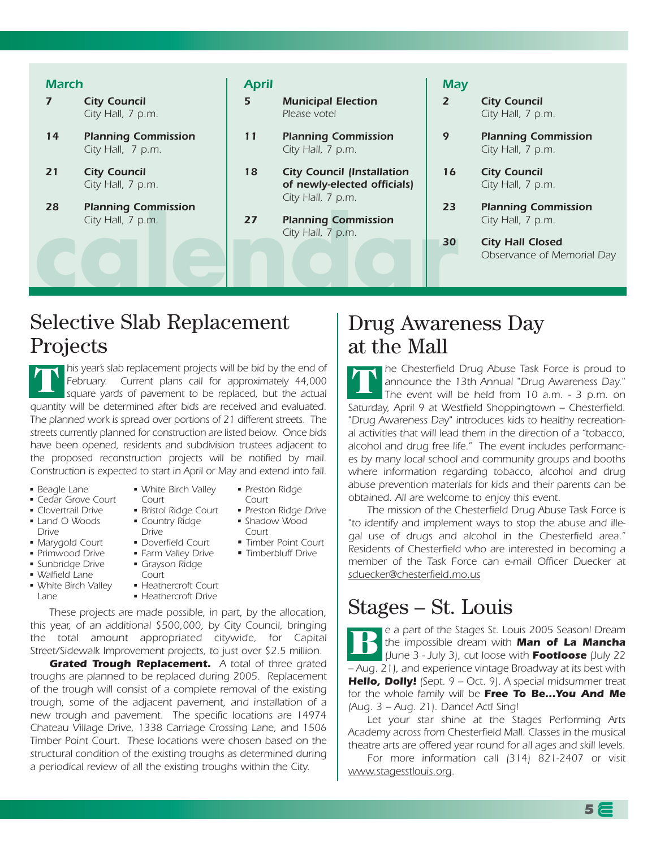#### City Hall, 7 p.m.<br> **c**ity Hall, 7 p.m.<br> **accounting Commission**<br> **accounting Commission**<br> **accounting Commission** *March 7 City Council City Hall, 7 p.m. 14 Planning Commission City Hall, 7 p.m. 21 City Council City Hall, 7 p.m. 28 Planning Commission City Hall, 7 p.m. April 5 Municipal Election Please vote! 11 Planning Commission City Hall, 7 p.m. 18 City Council (Installation of newly-elected officials) City Hall, 7 p.m. 27 Planning Commission City Hall, 7 p.m. May 2 City Council City Hall, 7 p.m. 9 Planning Commission City Hall, 7 p.m. 16 City Council City Hall, 7 p.m. 23 Planning Commission City Hall, 7 p.m. 30 City Hall Closed Observance of Memorial Day*

## Selective Slab Replacement Projects

*his year's slab replacement projects will be bid by the end of February. Current plans call for approximately 44,000 square yards of pavement to be replaced, but the actual quantity will be determined after bids are received and evaluated. The planned work is spread over portions of 21 different streets. The streets currently planned for construction are listed below. Once bids have been opened, residents and subdivision trustees adjacent to the proposed reconstruction projects will be notified by mail. Construction is expected to start in April or May and extend into fall.*  **T**

- *Beagle Lane*
- *Cedar Grove Court*
- *Clovertrail Drive*
- *Land O Woods*
- *Drive*
- *Marygold Court*
- *Primwood Drive*
- *Sunbridge Drive*
- *Walfield Lane*
- *White Birch Valley Lane*
- *White Birch Valley Court*
	- *Bristol Ridge Court*
	- *Country Ridge Drive*
	- *Doverfield Court*
	- *Farm Valley Drive*
	- *Grayson Ridge*
	- *Court*
	- *Heathercroft Court*
	- *Heathercroft Drive*

*These projects are made possible, in part, by the allocation, this year, of an additional \$500,000, by City Council, bringing the total amount appropriated citywide, for Capital Street/Sidewalk Improvement projects, to just over \$2.5 million.*

*Grated Trough Replacement. A total of three grated troughs are planned to be replaced during 2005. Replacement of the trough will consist of a complete removal of the existing trough, some of the adjacent pavement, and installation of a new trough and pavement. The specific locations are 14974 Chateau Village Drive, 1338 Carriage Crossing Lane, and 1506 Timber Point Court. These locations were chosen based on the structural condition of the existing troughs as determined during a periodical review of all the existing troughs within the City.* 

- *Preston Ridge*
- *Court • Preston Ridge Drive*
- *Shadow Wood Court*
- *Timber Point Court*
- *Timberbluff Drive*

## Drug Awareness Day at the Mall

*he Chesterfield Drug Abuse Task Force is proud to announce the 13th Annual "Drug Awareness Day." The event will be held from 10 a.m. - 3 p.m. on Saturday, April 9 at Westfield Shoppingtown – Chesterfield. "Drug Awareness Day" introduces kids to healthy recreational activities that will lead them in the direction of a "tobacco, alcohol and drug free life." The event includes performances by many local school and community groups and booths where information regarding tobacco, alcohol and drug abuse prevention materials for kids and their parents can be obtained. All are welcome to enjoy this event.* **T**

*The mission of the Chesterfield Drug Abuse Task Force is "to identify and implement ways to stop the abuse and illegal use of drugs and alcohol in the Chesterfield area." Residents of Chesterfield who are interested in becoming a member of the Task Force can e-mail Officer Duecker at sduecker@chesterfield.mo.us*

## Stages – St. Louis

*e a part of the Stages St. Louis 2005 Season! Dream the impossible dream with Man of La Mancha (June 3 - July 3), cut loose with Footloose (July 22 – Aug. 21), and experience vintage Broadway at its best with Hello, Dolly! (Sept. 9 – Oct. 9). A special midsummer treat for the whole family will be Free To Be…You And Me (Aug. 3 – Aug. 21). Dance! Act! Sing!*  **B**

*Let your star shine at the Stages Performing Arts Academy across from Chesterfield Mall. Classes in the musical theatre arts are offered year round for all ages and skill levels.* 

*For more information call (314) 821-2407 or visit www.stagesstlouis.org.*

**5**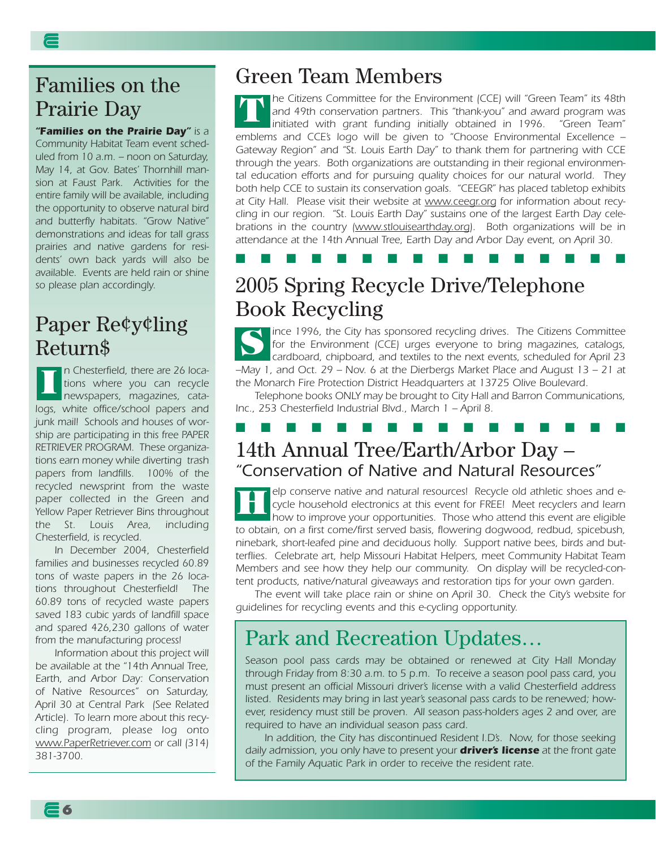#### Families on the Prairie Day

*"Families on the Prairie Day" is a Community Habitat Team event scheduled from 10 a.m. – noon on Saturday, May 14, at Gov. Bates' Thornhill mansion at Faust Park. Activities for the entire family will be available, including the opportunity to observe natural bird and butterfly habitats. "Grow Native" demonstrations and ideas for tall grass prairies and native gardens for residents' own back yards will also be available. Events are held rain or shine so please plan accordingly.*

#### Paper Re¢y¢ling Return\$

*n Chesterfield, there are 26 locations where you can recycle newspapers, magazines, catalogs, white office/school papers and junk mail! Schools and houses of worship are participating in this free PAPER RETRIEVER PROGRAM. These organizations earn money while diverting trash papers from landfills. 100% of the recycled newsprint from the waste paper collected in the Green and Yellow Paper Retriever Bins throughout the St. Louis Area, including Chesterfield, is recycled.*  **I**

*In December 2004, Chesterfield families and businesses recycled 60.89 tons of waste papers in the 26 locations throughout Chesterfield! The 60.89 tons of recycled waste papers saved 183 cubic yards of landfill space and spared 426,230 gallons of water from the manufacturing process!* 

*Information about this project will be available at the "14th Annual Tree, Earth, and Arbor Day: Conservation of Native Resources" on Saturday, April 30 at Central Park (See Related Article). To learn more about this recycling program, please log onto www.PaperRetriever.com or call (314) 381-3700.*

**6**

#### Green Team Members

*he Citizens Committee for the Environment (CCE) will "Green Team" its 48th and 49th conservation partners. This "thank-you" and award program was initiated with grant funding initially obtained in 1996. "Green Team" emblems and CCE's logo will be given to "Choose Environmental Excellence – Gateway Region" and "St. Louis Earth Day" to thank them for partnering with CCE through the years. Both organizations are outstanding in their regional environmental education efforts and for pursuing quality choices for our natural world. They both help CCE to sustain its conservation goals. "CEEGR" has placed tabletop exhibits at City Hall. Please visit their website at www.ceegr.org for information about recycling in our region. "St. Louis Earth Day" sustains one of the largest Earth Day celebrations in the country (www.stlouisearthday.org). Both organizations will be in attendance at the 14th Annual Tree, Earth Day and Arbor Day event, on April 30.* **T**

#### ■ ■ ■ ■ ■ ■ ■ ■ ■ ■ ■ ■ ■ ■ ■ ■

#### 2005 Spring Recycle Drive/Telephone Book Recycling

*ince 1996, the City has sponsored recycling drives. The Citizens Committee for the Environment (CCE) urges everyone to bring magazines, catalogs, cardboard, chipboard, and textiles to the next events, scheduled for April 23 –May 1, and Oct. 29 – Nov. 6 at the Dierbergs Market Place and August 13 – 21 at the Monarch Fire Protection District Headquarters at 13725 Olive Boulevard.* **S**

*Telephone books ONLY may be brought to City Hall and Barron Communications, Inc., 253 Chesterfield Industrial Blvd., March 1 – April 8.* 

#### 14th Annual Tree/Earth/Arbor Day – *"Conservation of Native and Natural Resources"*  ■ ■ ■ ■ ■ ■ ■ ■ ■ ■ ■ ■ ■ ■ ■ ■

*elp conserve native and natural resources! Recycle old athletic shoes and ecycle household electronics at this event for FREE! Meet recyclers and learn how to improve your opportunities. Those who attend this event are eligible to obtain, on a first come/first served basis, flowering dogwood, redbud, spicebush, ninebark, short-leafed pine and deciduous holly. Support native bees, birds and butterflies. Celebrate art, help Missouri Habitat Helpers, meet Community Habitat Team Members and see how they help our community. On display will be recycled-content products, native/natural giveaways and restoration tips for your own garden.* **H**

*The event will take place rain or shine on April 30. Check the City's website for guidelines for recycling events and this e-cycling opportunity.* 

#### Park and Recreation Updates…

*Season pool pass cards may be obtained or renewed at City Hall Monday through Friday from 8:30 a.m. to 5 p.m. To receive a season pool pass card, you must present an official Missouri driver's license with a valid Chesterfield address listed. Residents may bring in last year's seasonal pass cards to be renewed; however, residency must still be proven. All season pass-holders ages 2 and over, are required to have an individual season pass card.*

*In addition, the City has discontinued Resident I.D's. Now, for those seeking daily admission, you only have to present your driver's license at the front gate of the Family Aquatic Park in order to receive the resident rate.*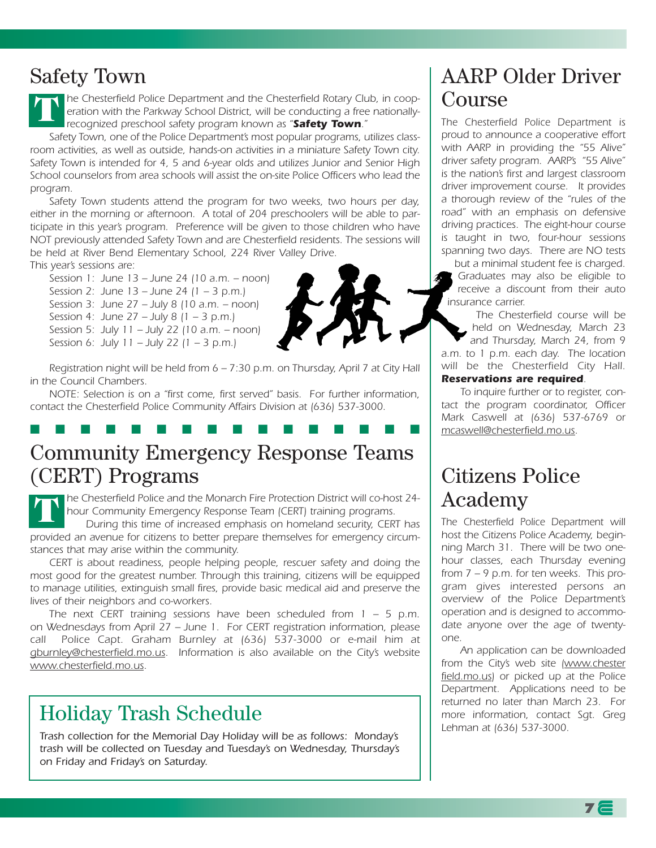#### Safety Town

*he Chesterfield Police Department and the Chesterfield Rotary Club, in cooperation with the Parkway School District, will be conducting a free nationallyrecognized preschool safety program known as "Safety Town."* **T**

*Safety Town, one of the Police Department's most popular programs, utilizes classroom activities, as well as outside, hands-on activities in a miniature Safety Town city. Safety Town is intended for 4, 5 and 6-year olds and utilizes Junior and Senior High School counselors from area schools will assist the on-site Police Officers who lead the program.* 

*Safety Town students attend the program for two weeks, two hours per day, either in the morning or afternoon. A total of 204 preschoolers will be able to participate in this year's program. Preference will be given to those children who have NOT previously attended Safety Town and are Chesterfield residents. The sessions will be held at River Bend Elementary School, 224 River Valley Drive.*

*This year's sessions are:*

*Session 1: June 13 – June 24 (10 a.m. – noon) Session 2: June 13 – June 24 (1 – 3 p.m.) Session 3: June 27 – July 8 (10 a.m. – noon) Session 4: June 27 – July 8 (1 – 3 p.m.) Session 5: July 11 – July 22 (10 a.m. – noon) Session 6: July 11 – July 22 (1 – 3 p.m.)*



*Registration night will be held from 6 – 7:30 p.m. on Thursday, April 7 at City Hall in the Council Chambers.*

*NOTE: Selection is on a "first come, first served" basis. For further information, contact the Chesterfield Police Community Affairs Division at (636) 537-3000.*

■ ■ ■ ■ ■ ■ ■ ■ ■ ■ ■ ■ ■ ■ ■ ■

## Community Emergency Response Teams (CERT) Programs

*he Chesterfield Police and the Monarch Fire Protection District will co-host 24 hour Community Emergency Response Team (CERT) training programs.*  **T**

*During this time of increased emphasis on homeland security, CERT has provided an avenue for citizens to better prepare themselves for emergency circumstances that may arise within the community.*

*CERT is about readiness, people helping people, rescuer safety and doing the most good for the greatest number. Through this training, citizens will be equipped to manage utilities, extinguish small fires, provide basic medical aid and preserve the lives of their neighbors and co-workers.* 

*The next CERT training sessions have been scheduled from 1 – 5 p.m. on Wednesdays from April 27 – June 1. For CERT registration information, please call Police Capt. Graham Burnley at (636) 537-3000 or e-mail him at gburnley@chesterfield.mo.us. Information is also available on the City's website www.chesterfield.mo.us.*

#### Holiday Trash Schedule

*Trash collection for the Memorial Day Holiday will be as follows: Monday's trash will be collected on Tuesday and Tuesday's on Wednesday, Thursday's on Friday and Friday's on Saturday.*

#### AARP Older Driver Course

*The Chesterfield Police Department is proud to announce a cooperative effort with AARP in providing the "55 Alive" driver safety program. AARP's "55 Alive" is the nation's first and largest classroom driver improvement course. It provides a thorough review of the "rules of the road" with an emphasis on defensive driving practices. The eight-hour course is taught in two, four-hour sessions spanning two days. There are NO tests*

*but a minimal student fee is charged. Graduates may also be eligible to receive a discount from their auto insurance carrier.*

*The Chesterfield course will be held on Wednesday, March 23 and Thursday, March 24, from 9 a.m. to 1 p.m. each day. The location will be the Chesterfield City Hall. Reservations are required.*

*To inquire further or to register, contact the program coordinator, Officer Mark Caswell at (636) 537-6769 or mcaswell@chesterfield.mo.us.*

## Citizens Police Academy

*The Chesterfield Police Department will host the Citizens Police Academy, beginning March 31. There will be two onehour classes, each Thursday evening from 7 – 9 p.m. for ten weeks. This program gives interested persons an overview of the Police Department's operation and is designed to accommodate anyone over the age of twentyone.* 

*An application can be downloaded from the City's web site (www.chester field.mo.us) or picked up at the Police Department. Applications need to be returned no later than March 23. For more information, contact Sgt. Greg Lehman at (636) 537-3000.*

**7**